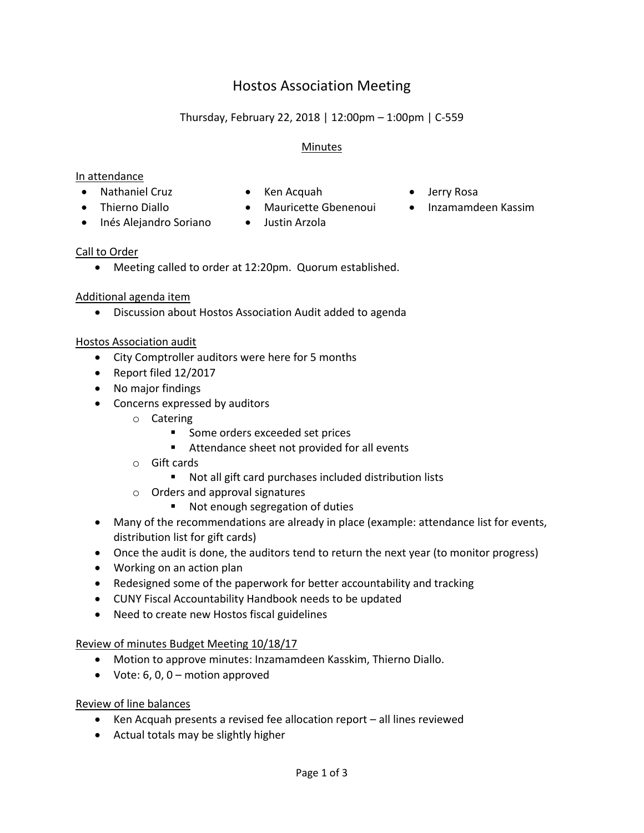# Hostos Association Meeting

## Thursday, February 22, 2018 | 12:00pm – 1:00pm | C-559

#### Minutes

#### In attendance

- Nathaniel Cruz Ken Acquah Jerry Rosa
	-
- 
- -
- 
- Thierno Diallo Mauricette Gbenenoui Inzamamdeen Kassim
- Inés Alejandro Soriano Justin Arzola
	-

## Call to Order

Meeting called to order at 12:20pm. Quorum established.

## Additional agenda item

Discussion about Hostos Association Audit added to agenda

#### Hostos Association audit

- City Comptroller auditors were here for 5 months
- Report filed 12/2017
- No major findings
- Concerns expressed by auditors
	- o Catering
		- Some orders exceeded set prices
		- Attendance sheet not provided for all events
	- o Gift cards
		- Not all gift card purchases included distribution lists
	- o Orders and approval signatures
		- Not enough segregation of duties
- Many of the recommendations are already in place (example: attendance list for events, distribution list for gift cards)
- Once the audit is done, the auditors tend to return the next year (to monitor progress)
- Working on an action plan
- Redesigned some of the paperwork for better accountability and tracking
- CUNY Fiscal Accountability Handbook needs to be updated
- Need to create new Hostos fiscal guidelines

#### Review of minutes Budget Meeting 10/18/17

- Motion to approve minutes: Inzamamdeen Kasskim, Thierno Diallo.
- Vote:  $6, 0, 0$  motion approved

#### Review of line balances

- Ken Acquah presents a revised fee allocation report all lines reviewed
- Actual totals may be slightly higher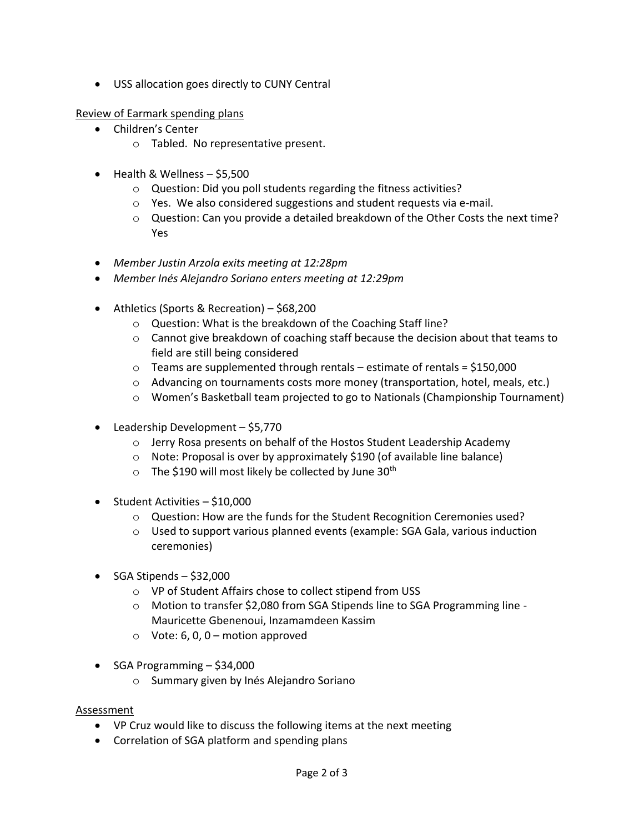USS allocation goes directly to CUNY Central

Review of Earmark spending plans

- Children's Center
	- o Tabled. No representative present.
- Health & Wellness \$5,500
	- o Question: Did you poll students regarding the fitness activities?
	- o Yes. We also considered suggestions and student requests via e-mail.
	- $\circ$  Question: Can you provide a detailed breakdown of the Other Costs the next time? Yes
- *Member Justin Arzola exits meeting at 12:28pm*
- *Member Inés Alejandro Soriano enters meeting at 12:29pm*
- Athletics (Sports & Recreation) \$68,200
	- o Question: What is the breakdown of the Coaching Staff line?
	- $\circ$  Cannot give breakdown of coaching staff because the decision about that teams to field are still being considered
	- $\circ$  Teams are supplemented through rentals estimate of rentals = \$150,000
	- $\circ$  Advancing on tournaments costs more money (transportation, hotel, meals, etc.)
	- $\circ$  Women's Basketball team projected to go to Nationals (Championship Tournament)
- $\bullet$  Leadership Development \$5,770
	- o Jerry Rosa presents on behalf of the Hostos Student Leadership Academy
	- o Note: Proposal is over by approximately \$190 (of available line balance)
	- $\circ$  The \$190 will most likely be collected by June 30<sup>th</sup>
- $\bullet$  Student Activities \$10,000
	- o Question: How are the funds for the Student Recognition Ceremonies used?
	- o Used to support various planned events (example: SGA Gala, various induction ceremonies)
- $\bullet$  SGA Stipends \$32,000
	- o VP of Student Affairs chose to collect stipend from USS
	- o Motion to transfer \$2,080 from SGA Stipends line to SGA Programming line Mauricette Gbenenoui, Inzamamdeen Kassim
	- $\circ$  Vote: 6, 0, 0 motion approved
- $\bullet$  SGA Programming  $-$  \$34,000
	- o Summary given by Inés Alejandro Soriano

#### **Assessment**

- VP Cruz would like to discuss the following items at the next meeting
- Correlation of SGA platform and spending plans